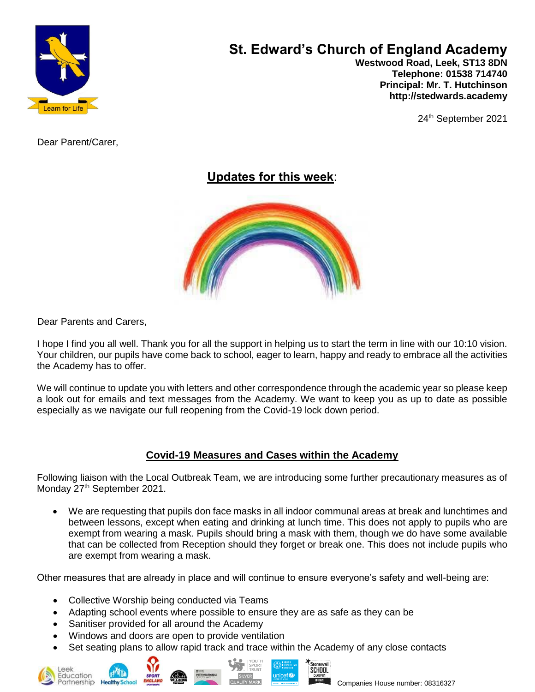

# **St. Edward's Church of England Academy**

 **Westwood Road, Leek, ST13 8DN Telephone: 01538 714740 Principal: Mr. T. Hutchinson http://stedwards.academy**

24<sup>th</sup> September 2021

Dear Parent/Carer,

# **Updates for this week**:



Dear Parents and Carers,

I hope I find you all well. Thank you for all the support in helping us to start the term in line with our 10:10 vision. Your children, our pupils have come back to school, eager to learn, happy and ready to embrace all the activities the Academy has to offer.

We will continue to update you with letters and other correspondence through the academic year so please keep a look out for emails and text messages from the Academy. We want to keep you as up to date as possible especially as we navigate our full reopening from the Covid-19 lock down period.

# **Covid-19 Measures and Cases within the Academy**

Following liaison with the Local Outbreak Team, we are introducing some further precautionary measures as of Monday 27<sup>th</sup> September 2021.

• We are requesting that pupils don face masks in all indoor communal areas at break and lunchtimes and between lessons, except when eating and drinking at lunch time. This does not apply to pupils who are exempt from wearing a mask. Pupils should bring a mask with them, though we do have some available that can be collected from Reception should they forget or break one. This does not include pupils who are exempt from wearing a mask.

Other measures that are already in place and will continue to ensure everyone's safety and well-being are:

- Collective Worship being conducted via Teams
- Adapting school events where possible to ensure they are as safe as they can be
- Sanitiser provided for all around the Academy
- Windows and doors are open to provide ventilation
- Set seating plans to allow rapid track and trace within the Academy of any close contacts







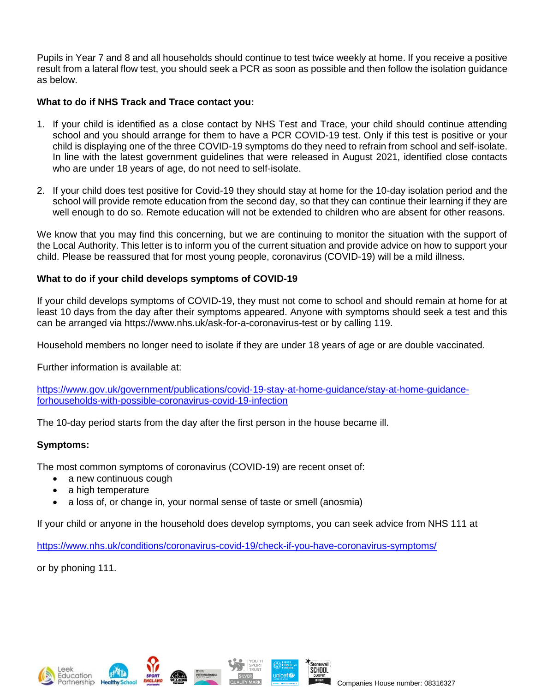Pupils in Year 7 and 8 and all households should continue to test twice weekly at home. If you receive a positive result from a lateral flow test, you should seek a PCR as soon as possible and then follow the isolation guidance as below.

# **What to do if NHS Track and Trace contact you:**

- 1. If your child is identified as a close contact by NHS Test and Trace, your child should continue attending school and you should arrange for them to have a PCR COVID-19 test. Only if this test is positive or your child is displaying one of the three COVID-19 symptoms do they need to refrain from school and self-isolate. In line with the latest government guidelines that were released in August 2021, identified close contacts who are under 18 years of age, do not need to self-isolate.
- 2. If your child does test positive for Covid-19 they should stay at home for the 10-day isolation period and the school will provide remote education from the second day, so that they can continue their learning if they are well enough to do so. Remote education will not be extended to children who are absent for other reasons.

We know that you may find this concerning, but we are continuing to monitor the situation with the support of the Local Authority. This letter is to inform you of the current situation and provide advice on how to support your child. Please be reassured that for most young people, coronavirus (COVID-19) will be a mild illness.

#### **What to do if your child develops symptoms of COVID-19**

If your child develops symptoms of COVID-19, they must not come to school and should remain at home for at least 10 days from the day after their symptoms appeared. Anyone with symptoms should seek a test and this can be arranged via https://www.nhs.uk/ask-for-a-coronavirus-test or by calling 119.

Household members no longer need to isolate if they are under 18 years of age or are double vaccinated.

Further information is available at:

[https://www.gov.uk/government/publications/covid-19-stay-at-home-guidance/stay-at-home-guidance](https://www.gov.uk/government/publications/covid-19-stay-at-home-guidance/stay-at-home-guidance-forhouseholds-with-possible-coronavirus-covid-19-infection)[forhouseholds-with-possible-coronavirus-covid-19-infection](https://www.gov.uk/government/publications/covid-19-stay-at-home-guidance/stay-at-home-guidance-forhouseholds-with-possible-coronavirus-covid-19-infection)

The 10-day period starts from the day after the first person in the house became ill.

#### **Symptoms:**

The most common symptoms of coronavirus (COVID-19) are recent onset of:

- a new continuous cough
- a high temperature
- a loss of, or change in, your normal sense of taste or smell (anosmia)

If your child or anyone in the household does develop symptoms, you can seek advice from NHS 111 at

<https://www.nhs.uk/conditions/coronavirus-covid-19/check-if-you-have-coronavirus-symptoms/>

or by phoning 111.

artnership He